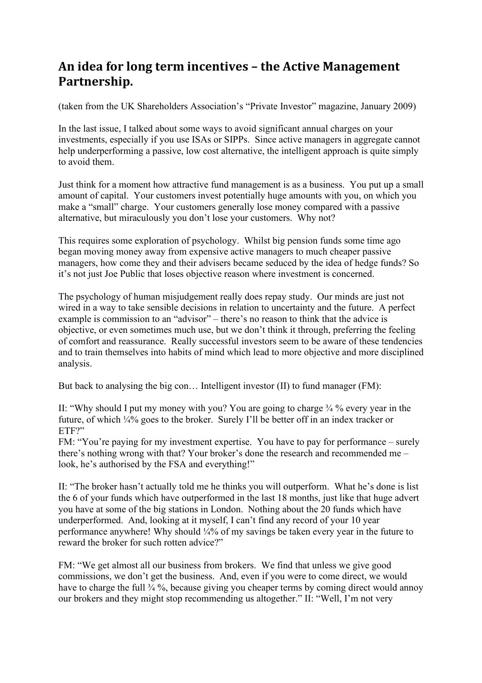## An idea for long term incentives – the Active Management **Partnership.**

(taken from the UK Shareholders Association's "Private Investor" magazine, January 2009)

In the last issue, I talked about some ways to avoid significant annual charges on your investments, especially if you use ISAs or SIPPs. Since active managers in aggregate cannot help underperforming a passive, low cost alternative, the intelligent approach is quite simply to avoid them.

Just think for a moment how attractive fund management is as a business. You put up a small amount of capital. Your customers invest potentially huge amounts with you, on which you make a "small" charge. Your customers generally lose money compared with a passive alternative, but miraculously you don't lose your customers. Why not?

This requires some exploration of psychology. Whilst big pension funds some time ago began moving money away from expensive active managers to much cheaper passive managers, how come they and their advisers became seduced by the idea of hedge funds? So it's not just Joe Public that loses objective reason where investment is concerned.

The psychology of human misjudgement really does repay study. Our minds are just not wired in a way to take sensible decisions in relation to uncertainty and the future. A perfect example is commission to an "advisor" – there's no reason to think that the advice is objective, or even sometimes much use, but we don't think it through, preferring the feeling of comfort and reassurance. Really successful investors seem to be aware of these tendencies and to train themselves into habits of mind which lead to more objective and more disciplined analysis.

But back to analysing the big con... Intelligent investor (II) to fund manager (FM):

II: "Why should I put my money with you? You are going to charge ¾ % every year in the future, of which ¼% goes to the broker. Surely I'll be better off in an index tracker or ETF?"

FM: "You're paying for my investment expertise. You have to pay for performance – surely there's nothing wrong with that? Your broker's done the research and recommended me – look, he's authorised by the FSA and everything!"

II: "The broker hasn't actually told me he thinks you will outperform. What he's done is list the 6 of your funds which have outperformed in the last 18 months, just like that huge advert you have at some of the big stations in London. Nothing about the 20 funds which have underperformed. And, looking at it myself, I can't find any record of your 10 year performance anywhere! Why should ¼% of my savings be taken every year in the future to reward the broker for such rotten advice?"

FM: "We get almost all our business from brokers. We find that unless we give good commissions, we don't get the business. And, even if you were to come direct, we would have to charge the full  $\frac{3}{4}$ %, because giving you cheaper terms by coming direct would annoy our brokers and they might stop recommending us altogether." II: "Well, I'm not very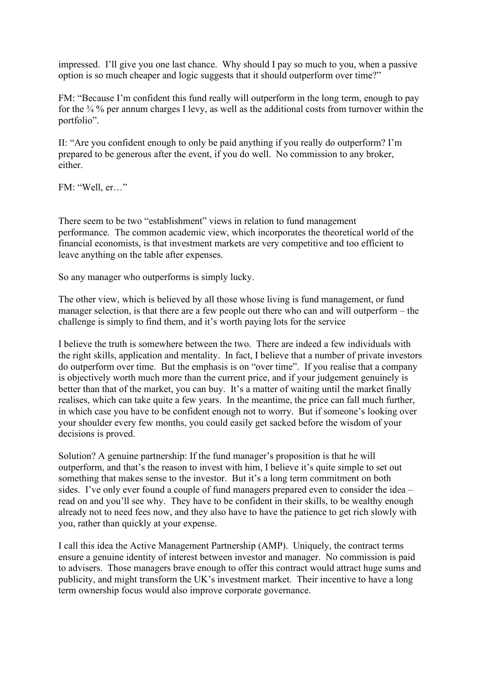impressed. I'll give you one last chance. Why should I pay so much to you, when a passive option is so much cheaper and logic suggests that it should outperform over time?"

FM: "Because I'm confident this fund really will outperform in the long term, enough to pay for the  $\frac{3}{4}$ % per annum charges I levy, as well as the additional costs from turnover within the portfolio".

II: "Are you confident enough to only be paid anything if you really do outperform? I'm prepared to be generous after the event, if you do well. No commission to any broker, either.

FM: "Well, er…"

There seem to be two "establishment" views in relation to fund management performance. The common academic view, which incorporates the theoretical world of the financial economists, is that investment markets are very competitive and too efficient to leave anything on the table after expenses.

So any manager who outperforms is simply lucky.

The other view, which is believed by all those whose living is fund management, or fund manager selection, is that there are a few people out there who can and will outperform – the challenge is simply to find them, and it's worth paying lots for the service

I believe the truth is somewhere between the two. There are indeed a few individuals with the right skills, application and mentality. In fact, I believe that a number of private investors do outperform over time. But the emphasis is on "over time". If you realise that a company is objectively worth much more than the current price, and if your judgement genuinely is better than that of the market, you can buy. It's a matter of waiting until the market finally realises, which can take quite a few years. In the meantime, the price can fall much further, in which case you have to be confident enough not to worry. But if someone's looking over your shoulder every few months, you could easily get sacked before the wisdom of your decisions is proved.

Solution? A genuine partnership: If the fund manager's proposition is that he will outperform, and that's the reason to invest with him, I believe it's quite simple to set out something that makes sense to the investor. But it's a long term commitment on both sides. I've only ever found a couple of fund managers prepared even to consider the idea – read on and you'll see why. They have to be confident in their skills, to be wealthy enough already not to need fees now, and they also have to have the patience to get rich slowly with you, rather than quickly at your expense.

I call this idea the Active Management Partnership (AMP). Uniquely, the contract terms ensure a genuine identity of interest between investor and manager. No commission is paid to advisers. Those managers brave enough to offer this contract would attract huge sums and publicity, and might transform the UK's investment market. Their incentive to have a long term ownership focus would also improve corporate governance.